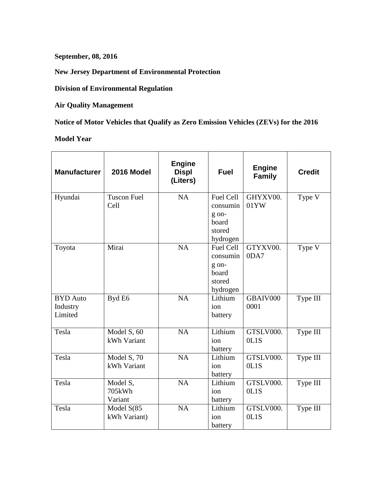**September, 08, 2016**

**New Jersey Department of Environmental Protection**

**Division of Environmental Regulation**

**Air Quality Management**

**Notice of Motor Vehicles that Qualify as Zero Emission Vehicles (ZEVs) for the 2016**

**Model Year**

| <b>Manufacturer</b>                    | 2016 Model                    | <b>Engine</b><br><b>Displ</b><br>(Liters) | <b>Fuel</b>                                                   | <b>Engine</b><br><b>Family</b> | <b>Credit</b> |
|----------------------------------------|-------------------------------|-------------------------------------------|---------------------------------------------------------------|--------------------------------|---------------|
| Hyundai                                | <b>Tuscon Fuel</b><br>Cell    | <b>NA</b>                                 | Fuel Cell<br>consumin<br>g on-<br>board<br>stored<br>hydrogen | GHYXV00.<br>01YW               | Type V        |
| Toyota                                 | Mirai                         | NA                                        | Fuel Cell<br>consumin<br>g on-<br>board<br>stored<br>hydrogen | GTYXV00.<br>0DA7               | Type V        |
| <b>BYD</b> Auto<br>Industry<br>Limited | Byd E6                        | <b>NA</b>                                 | Lithium<br>ion<br>battery                                     | GBAIV000<br>0001               | Type III      |
| Tesla                                  | Model S, 60<br>kWh Variant    | <b>NA</b>                                 | Lithium<br>ion<br>battery                                     | GTSLV000.<br>0L1S              | Type III      |
| Tesla                                  | Model S, 70<br>kWh Variant    | NA                                        | Lithium<br>ion<br>battery                                     | GTSLV000.<br>0L1S              | Type III      |
| Tesla                                  | Model S,<br>705kWh<br>Variant | <b>NA</b>                                 | Lithium<br>ion<br>battery                                     | GTSLV000.<br>0L1S              | Type III      |
| Tesla                                  | Model $S(85)$<br>kWh Variant) | <b>NA</b>                                 | Lithium<br>ion<br>battery                                     | GTSLV000.<br>0L1S              | Type III      |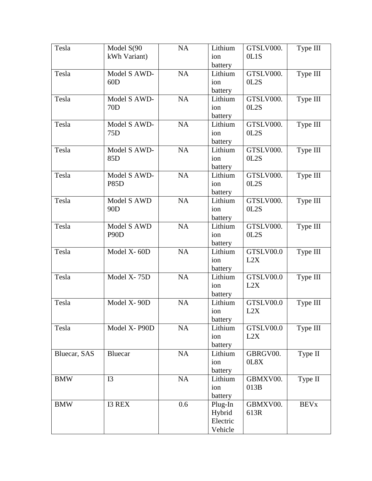| Tesla        | Model S(90        | NA        | Lithium            | GTSLV000.        | Type III     |
|--------------|-------------------|-----------|--------------------|------------------|--------------|
|              | kWh Variant)      |           | ion                | 0L1S             |              |
|              |                   |           | battery            |                  |              |
| Tesla        | Model S AWD-      | <b>NA</b> | Lithium            | GTSLV000.        | Type III     |
|              | 60D               |           | ion                | OL2S             |              |
|              |                   |           | battery            |                  |              |
| Tesla        | Model S AWD-      | NA        | Lithium            | GTSLV000.        | Type III     |
|              | 70 <sub>D</sub>   |           | ion                | OL2S             |              |
|              |                   |           | battery            |                  |              |
| Tesla        | Model S AWD-      | <b>NA</b> | Lithium            | GTSLV000.        | Type III     |
|              | 75 <sub>D</sub>   |           | ion                | OL2S             |              |
|              |                   |           | battery            |                  |              |
| Tesla        | Model S AWD-      | NA        | Lithium            | GTSLV000.        | Type III     |
|              | 85 <sub>D</sub>   |           | ion                | OL2S             |              |
|              |                   |           | battery            |                  |              |
| Tesla        | Model S AWD-      | <b>NA</b> | Lithium            | GTSLV000.        | Type III     |
|              | <b>P85D</b>       |           | ion                | OL2S             |              |
|              |                   |           | battery            |                  |              |
| Tesla        | Model S AWD       | NA        | Lithium            | GTSLV000.        | Type III     |
|              | 90 <sub>D</sub>   |           | ion                | OL2S             |              |
|              |                   |           | battery            |                  |              |
| Tesla        | Model S AWD       | NA        | Lithium            | GTSLV000.        | Type III     |
|              | P <sub>90</sub> D |           | ion                | OL2S             |              |
|              |                   |           | battery            |                  |              |
| Tesla        | Model X-60D       | NA        | Lithium            | GTSLV00.0        | Type III     |
|              |                   |           | ion                | L2X              |              |
|              |                   |           | battery            |                  |              |
| Tesla        | Model X-75D       | NA        | Lithium            | GTSLV00.0        | Type III     |
|              |                   |           | ion                | L2X              |              |
|              |                   |           | battery            |                  |              |
| Tesla        | Model X-90D       | NA        | Lithium            | GTSLV00.0        | Type III     |
|              |                   |           | ion                | L2X              |              |
|              |                   |           | battery            |                  |              |
| Tesla        | Model X-P90D      | NA        | Lithium            | GTSLV00.0        | Type III     |
|              |                   |           | ion                | L2X              |              |
|              |                   |           |                    |                  |              |
| Bluecar, SAS | <b>Bluecar</b>    | NA        | battery<br>Lithium | GBRGV00.         | Type II      |
|              |                   |           | ion                | 0L8X             |              |
|              |                   |           | battery            |                  |              |
|              | <b>I3</b>         | NA        |                    |                  |              |
| <b>BMW</b>   |                   |           | Lithium<br>ion     | GBMXV00.<br>013B | Type II      |
|              |                   |           |                    |                  |              |
|              |                   | 0.6       | battery            |                  |              |
| <b>BMW</b>   | <b>I3 REX</b>     |           | Plug-In            | GBMXV00.         | <b>BEV</b> x |
|              |                   |           | Hybrid             | 613R             |              |
|              |                   |           | Electric           |                  |              |
|              |                   |           | Vehicle            |                  |              |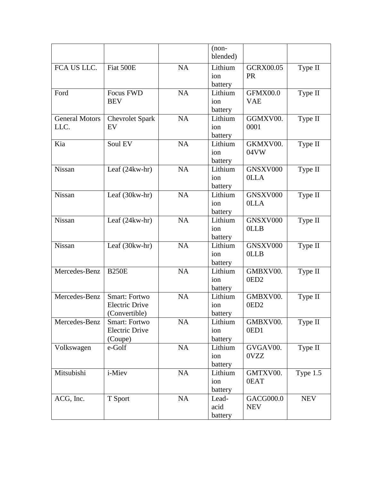|                               |                                                                |           | $(non-$<br>blended)       |                               |            |
|-------------------------------|----------------------------------------------------------------|-----------|---------------------------|-------------------------------|------------|
| FCA US LLC.                   | Fiat 500E                                                      | <b>NA</b> | Lithium<br>ion<br>battery | <b>GCRX00.05</b><br><b>PR</b> | Type II    |
| Ford                          | Focus FWD<br><b>BEV</b>                                        | <b>NA</b> | Lithium<br>ion<br>battery | GFMX00.0<br><b>VAE</b>        | Type II    |
| <b>General Motors</b><br>LLC. | <b>Chevrolet Spark</b><br>EV                                   | NA        | Lithium<br>ion<br>battery | GGMXV00.<br>0001              | Type II    |
| Kia                           | Soul EV                                                        | <b>NA</b> | Lithium<br>ion<br>battery | GKMXV00.<br>04VW              | Type II    |
| Nissan                        | Leaf $(24kw-hr)$                                               | <b>NA</b> | Lithium<br>ion<br>battery | GNSXV000<br>0LLA              | Type II    |
| Nissan                        | Leaf (30kw-hr)                                                 | NA        | Lithium<br>ion<br>battery | GNSXV000<br><b>OLLA</b>       | Type II    |
| Nissan                        | Leaf (24kw-hr)                                                 | <b>NA</b> | Lithium<br>ion<br>battery | GNSXV000<br><b>OLLB</b>       | Type II    |
| Nissan                        | Leaf (30kw-hr)                                                 | NA        | Lithium<br>ion<br>battery | GNSXV000<br><b>OLLB</b>       | Type II    |
| Mercedes-Benz                 | <b>B250E</b>                                                   | <b>NA</b> | Lithium<br>ion<br>battery | GMBXV00.<br>0ED <sub>2</sub>  | Type II    |
| Mercedes-Benz                 | <b>Smart: Fortwo</b><br><b>Electric Drive</b><br>(Convertible) | NA        | Lithium<br>ion<br>battery | GMBXV00.<br>0ED <sub>2</sub>  | Type II    |
| Mercedes-Benz                 | Smart: Fortwo<br><b>Electric Drive</b><br>(Coupe)              | NA        | Lithium<br>ion<br>battery | GMBXV00.<br>0ED1              | Type II    |
| Volkswagen                    | e-Golf                                                         | NA        | Lithium<br>ion<br>battery | GVGAV00.<br>0VZZ              | Type II    |
| Mitsubishi                    | i-Miev                                                         | NA        | Lithium<br>ion<br>battery | GMTXV00.<br>0EAT              | Type 1.5   |
| ACG, Inc.                     | T Sport                                                        | NA        | Lead-<br>acid<br>battery  | GACG000.0<br><b>NEV</b>       | <b>NEV</b> |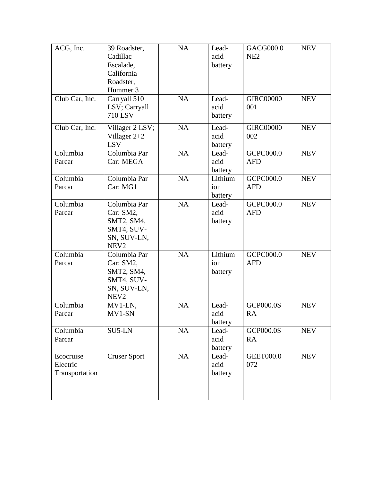| ACG, Inc.<br>Club Car, Inc.             | 39 Roadster,<br>Cadillac<br>Escalade,<br>California<br>Roadster,<br>Hummer 3<br>Carryall 510<br>LSV; Carryall<br><b>710 LSV</b> | NA<br>NA  | Lead-<br>acid<br>battery<br>Lead-<br>acid<br>battery | GACG000.0<br>NE <sub>2</sub><br><b>GIRC00000</b><br>001 | <b>NEV</b><br><b>NEV</b> |
|-----------------------------------------|---------------------------------------------------------------------------------------------------------------------------------|-----------|------------------------------------------------------|---------------------------------------------------------|--------------------------|
| Club Car, Inc.                          | Villager 2 LSV;<br>Villager $2+2$<br><b>LSV</b>                                                                                 | <b>NA</b> | Lead-<br>acid<br>battery                             | <b>GIRC00000</b><br>002                                 | <b>NEV</b>               |
| Columbia<br>Parcar                      | Columbia Par<br>Car: MEGA                                                                                                       | <b>NA</b> | Lead-<br>acid<br>battery                             | GCPC000.0<br><b>AFD</b>                                 | <b>NEV</b>               |
| Columbia<br>Parcar                      | Columbia Par<br>Car: MG1                                                                                                        | NA        | Lithium<br>ion<br>battery                            | GCPC000.0<br><b>AFD</b>                                 | <b>NEV</b>               |
| Columbia<br>Parcar                      | Columbia Par<br>Car: SM2,<br>SMT2, SM4,<br>SMT4, SUV-<br>SN, SUV-LN,<br>NEV <sub>2</sub>                                        | <b>NA</b> | Lead-<br>acid<br>battery                             | GCPC000.0<br><b>AFD</b>                                 | <b>NEV</b>               |
| Columbia<br>Parcar                      | Columbia Par<br>Car: SM2,<br>SMT2, SM4,<br>SMT4, SUV-<br>SN, SUV-LN,<br>NEV <sub>2</sub>                                        | <b>NA</b> | Lithium<br>ion<br>battery                            | GCPC000.0<br><b>AFD</b>                                 | <b>NEV</b>               |
| Columbia<br>Parcar                      | MV1-LN,<br>MV1-SN                                                                                                               | <b>NA</b> | Lead-<br>acid<br>battery                             | <b>GCP000.0S</b><br>RA                                  | <b>NEV</b>               |
| Columbia<br>Parcar                      | SU5-LN                                                                                                                          | NA        | Lead-<br>acid<br>battery                             | <b>GCP000.0S</b><br><b>RA</b>                           | <b>NEV</b>               |
| Ecocruise<br>Electric<br>Transportation | <b>Cruser Sport</b>                                                                                                             | $\rm NA$  | Lead-<br>acid<br>battery                             | <b>GEET000.0</b><br>072                                 | <b>NEV</b>               |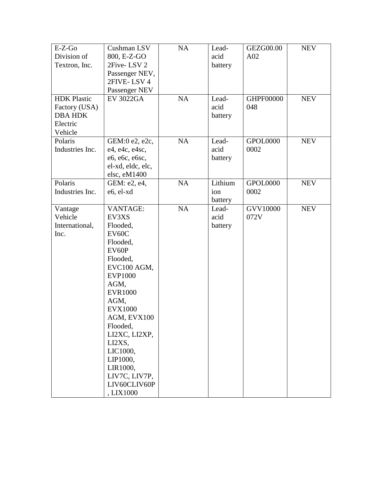| $E-Z-Go$           | Cushman LSV               | NA | Lead-   | <b>GEZG00.00</b> | <b>NEV</b> |
|--------------------|---------------------------|----|---------|------------------|------------|
| Division of        | 800, E-Z-GO               |    | acid    | A02              |            |
| Textron, Inc.      | 2Five-LSV 2               |    | battery |                  |            |
|                    | Passenger NEV,            |    |         |                  |            |
|                    | 2FIVE-LSV4                |    |         |                  |            |
|                    | Passenger NEV             |    |         |                  |            |
| <b>HDK</b> Plastic | <b>EV 3022GA</b>          | NA | Lead-   | GHPF00000        | <b>NEV</b> |
| Factory (USA)      |                           |    | acid    | 048              |            |
| <b>DBA HDK</b>     |                           |    | battery |                  |            |
| Electric           |                           |    |         |                  |            |
| Vehicle            |                           |    |         |                  |            |
| Polaris            | GEM:0 e2, e2c,            | NA | Lead-   | GPOL0000         | <b>NEV</b> |
| Industries Inc.    | e4, e4c, e4sc,            |    | acid    | 0002             |            |
|                    | e6, e6c, e6sc,            |    | battery |                  |            |
|                    | el-xd, eldc, elc,         |    |         |                  |            |
|                    | elsc, eM1400              |    |         |                  |            |
| Polaris            | GEM: e2, e4,              | NA | Lithium | GPOL0000         | <b>NEV</b> |
| Industries Inc.    | e6, el-xd                 |    | ion     | 0002             |            |
|                    |                           |    | battery |                  |            |
| Vantage            | <b>VANTAGE:</b>           | NA | Lead-   | <b>GVV10000</b>  | <b>NEV</b> |
| Vehicle            | EV3XS                     |    | acid    | 072V             |            |
| International,     | Flooded,                  |    | battery |                  |            |
| Inc.               | EV60C                     |    |         |                  |            |
|                    | Flooded,                  |    |         |                  |            |
|                    | EV60P                     |    |         |                  |            |
|                    | Flooded,                  |    |         |                  |            |
|                    | EVC100 AGM,               |    |         |                  |            |
|                    | <b>EVP1000</b>            |    |         |                  |            |
|                    | AGM,                      |    |         |                  |            |
|                    | <b>EVR1000</b>            |    |         |                  |            |
|                    | AGM,                      |    |         |                  |            |
|                    | <b>EVX1000</b>            |    |         |                  |            |
|                    | AGM, EVX100               |    |         |                  |            |
|                    | Flooded,                  |    |         |                  |            |
|                    | LI2XC, LI2XP,             |    |         |                  |            |
|                    | LI2XS,                    |    |         |                  |            |
|                    | LIC1000,                  |    |         |                  |            |
|                    | LIP1000,                  |    |         |                  |            |
|                    | LIR1000,                  |    |         |                  |            |
|                    | LIV7C, LIV7P,             |    |         |                  |            |
|                    | LIV60CLIV60P<br>, LIX1000 |    |         |                  |            |
|                    |                           |    |         |                  |            |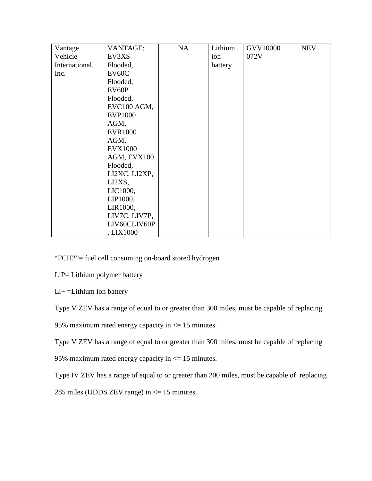| Vantage        | <b>VANTAGE:</b> | <b>NA</b> | Lithium | <b>GVV10000</b> | <b>NEV</b> |
|----------------|-----------------|-----------|---------|-----------------|------------|
| Vehicle        | EV3XS           |           | ion     | 072V            |            |
| International, | Flooded,        |           | battery |                 |            |
| Inc.           | EV60C           |           |         |                 |            |
|                | Flooded,        |           |         |                 |            |
|                | EV60P           |           |         |                 |            |
|                | Flooded,        |           |         |                 |            |
|                | EVC100 AGM,     |           |         |                 |            |
|                | <b>EVP1000</b>  |           |         |                 |            |
|                | AGM,            |           |         |                 |            |
|                | <b>EVR1000</b>  |           |         |                 |            |
|                | AGM,            |           |         |                 |            |
|                | <b>EVX1000</b>  |           |         |                 |            |
|                | AGM, EVX100     |           |         |                 |            |
|                | Flooded,        |           |         |                 |            |
|                | LI2XC, LI2XP,   |           |         |                 |            |
|                | LI2XS,          |           |         |                 |            |
|                | LIC1000,        |           |         |                 |            |
|                | LIP1000,        |           |         |                 |            |
|                | LIR1000,        |           |         |                 |            |
|                | LIV7C, LIV7P,   |           |         |                 |            |
|                | LIV60CLIV60P    |           |         |                 |            |
|                | , LIX1000       |           |         |                 |            |

"FCH2"= fuel cell consuming on-board stored hydrogen

LiP= Lithium polymer battery

Li+ =Lithium ion battery

Type V ZEV has a range of equal to or greater than 300 miles, must be capable of replacing

95% maximum rated energy capacity in  $\leq$  15 minutes.

Type V ZEV has a range of equal to or greater than 300 miles, must be capable of replacing

95% maximum rated energy capacity in <= 15 minutes.

Type IV ZEV has a range of equal to or greater than 200 miles, must be capable of replacing

285 miles (UDDS ZEV range) in <= 15 minutes.